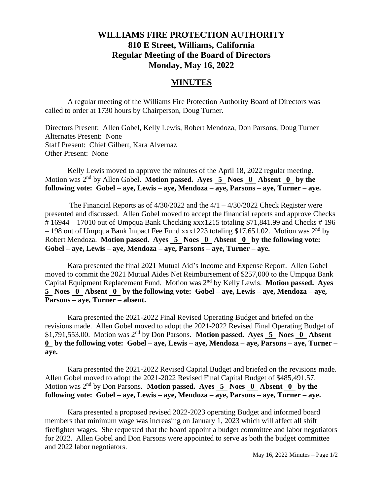## **WILLIAMS FIRE PROTECTION AUTHORITY 810 E Street, Williams, California Regular Meeting of the Board of Directors Monday, May 16, 2022**

## **MINUTES**

A regular meeting of the Williams Fire Protection Authority Board of Directors was called to order at 1730 hours by Chairperson, Doug Turner.

Directors Present: Allen Gobel, Kelly Lewis, Robert Mendoza, Don Parsons, Doug Turner Alternates Present: None Staff Present: Chief Gilbert, Kara Alvernaz Other Present: None

Kelly Lewis moved to approve the minutes of the April 18, 2022 regular meeting. Motion was 2nd by Allen Gobel. **Motion passed. Ayes 5 Noes 0 Absent 0 by the following vote: Gobel – aye, Lewis – aye, Mendoza – aye, Parsons – aye, Turner – aye.**

The Financial Reports as of  $4/30/2022$  and the  $4/1 - 4/30/2022$  Check Register were presented and discussed. Allen Gobel moved to accept the financial reports and approve Checks # 16944 – 17010 out of Umpqua Bank Checking xxx1215 totaling \$71,841.99 and Checks # 196  $-198$  out of Umpqua Bank Impact Fee Fund xxx1223 totaling \$17,651.02. Motion was  $2<sup>nd</sup>$  by Robert Mendoza. **Motion passed.** Ayes **5** Noes **0** Absent **0** by the following vote: **Gobel – aye, Lewis – aye, Mendoza – aye, Parsons – aye, Turner – aye.** 

Kara presented the final 2021 Mutual Aid's Income and Expense Report. Allen Gobel moved to commit the 2021 Mutual Aides Net Reimbursement of \$257,000 to the Umpqua Bank Capital Equipment Replacement Fund. Motion was 2nd by Kelly Lewis. **Motion passed. Ayes 5 Noes 0 Absent 0 by the following vote: Gobel – aye, Lewis – aye, Mendoza – aye, Parsons – aye, Turner – absent.**

Kara presented the 2021-2022 Final Revised Operating Budget and briefed on the revisions made. Allen Gobel moved to adopt the 2021-2022 Revised Final Operating Budget of \$1,791,553.00. Motion was 2nd by Don Parsons. **Motion passed. Ayes 5 Noes 0 Absent 0 by the following vote: Gobel – aye, Lewis – aye, Mendoza – aye, Parsons – aye, Turner – aye.**

Kara presented the 2021-2022 Revised Capital Budget and briefed on the revisions made. Allen Gobel moved to adopt the 2021-2022 Revised Final Capital Budget of \$485,491.57. Motion was 2nd by Don Parsons. **Motion passed. Ayes 5 Noes 0 Absent 0 by the following vote: Gobel – aye, Lewis – aye, Mendoza – aye, Parsons – aye, Turner – aye.**

Kara presented a proposed revised 2022-2023 operating Budget and informed board members that minimum wage was increasing on January 1, 2023 which will affect all shift firefighter wages. She requested that the board appoint a budget committee and labor negotiators for 2022. Allen Gobel and Don Parsons were appointed to serve as both the budget committee and 2022 labor negotiators.